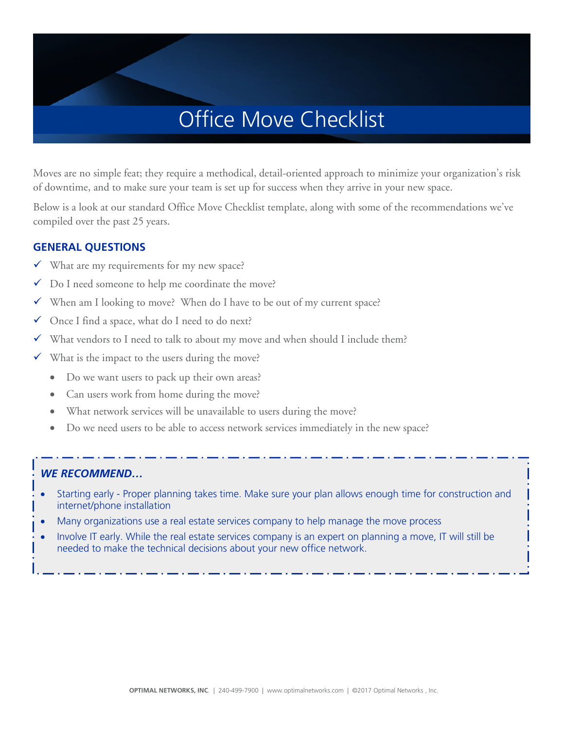Moves are no simple feat; they require a methodical, detail-oriented approach to minimize your organization's risk of downtime, and to make sure your team is set up for success when they arrive in your new space.

Below is a look at our standard Office Move Checklist template, along with some of the recommendations we've compiled over the past 25 years.

### **GENERAL QUESTIONS**

- $\checkmark$  What are my requirements for my new space?
- $\checkmark$  Do I need someone to help me coordinate the move?
- $\checkmark$  When am I looking to move? When do I have to be out of my current space?
- Once I find a space, what do I need to do next?
- $\checkmark$  What vendors to I need to talk to about my move and when should I include them?
- $\checkmark$  What is the impact to the users during the move?
	- Do we want users to pack up their own areas?
	- Can users work from home during the move?
	- What network services will be unavailable to users during the move?
	- Do we need users to be able to access network services immediately in the new space?

- Starting early Proper planning takes time. Make sure your plan allows enough time for construction and internet/phone installation
- Many organizations use a real estate services company to help manage the move process
- Involve IT early. While the real estate services company is an expert on planning a move, IT will still be needed to make the technical decisions about your new office network.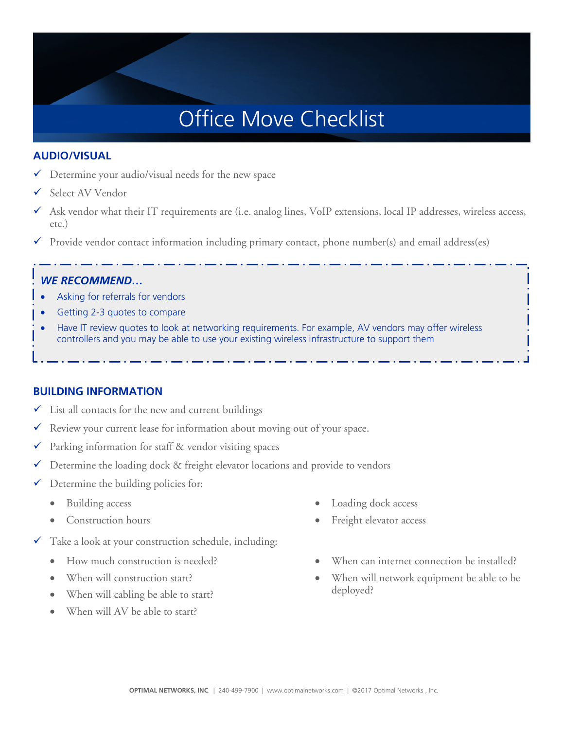### **AUDIO/VISUAL**

- $\checkmark$  Determine your audio/visual needs for the new space
- Select AV Vendor
- $\checkmark$  Ask vendor what their IT requirements are (i.e. analog lines, VoIP extensions, local IP addresses, wireless access, etc.)
- $\checkmark$  Provide vendor contact information including primary contact, phone number(s) and email address(es)

## *WE RECOMMEND…*

- Asking for referrals for vendors
- Getting 2-3 quotes to compare
- Have IT review quotes to look at networking requirements. For example, AV vendors may offer wireless controllers and you may be able to use your existing wireless infrastructure to support them

### **BUILDING INFORMATION**

- $\checkmark$  List all contacts for the new and current buildings
- $\checkmark$  Review your current lease for information about moving out of your space.
- $\checkmark$  Parking information for staff & vendor visiting spaces
- $\checkmark$  Determine the loading dock & freight elevator locations and provide to vendors
- $\checkmark$  Determine the building policies for:
	- Building access
	- Construction hours
- $\checkmark$  Take a look at your construction schedule, including:
	- How much construction is needed?
	- When will construction start?
	- When will cabling be able to start?
	- When will AV be able to start?
- Loading dock access
- Freight elevator access
- When can internet connection be installed?
- When will network equipment be able to be deployed?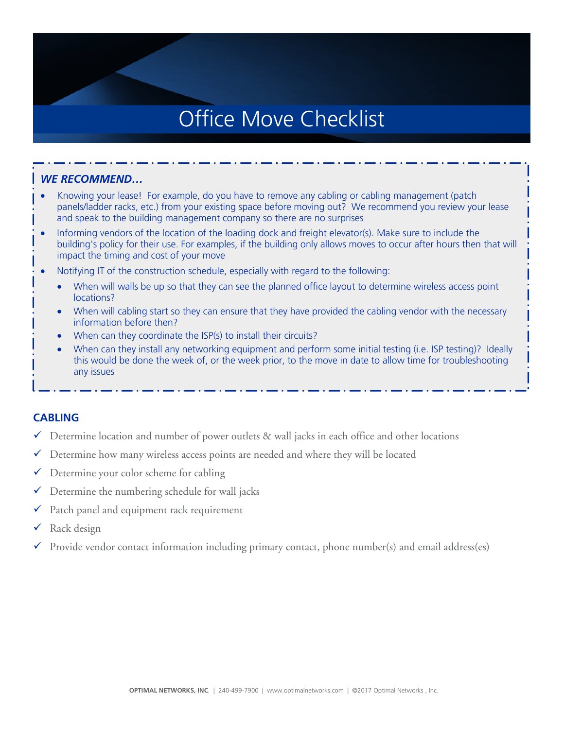#### *WE RECOMMEND…*

- Knowing your lease! For example, do you have to remove any cabling or cabling management (patch panels/ladder racks, etc.) from your existing space before moving out? We recommend you review your lease and speak to the building management company so there are no surprises
- Informing vendors of the location of the loading dock and freight elevator(s). Make sure to include the building's policy for their use. For examples, if the building only allows moves to occur after hours then that will impact the timing and cost of your move
- Notifying IT of the construction schedule, especially with regard to the following:
	- When will walls be up so that they can see the planned office layout to determine wireless access point locations?
	- When will cabling start so they can ensure that they have provided the cabling vendor with the necessary information before then?
	- When can they coordinate the ISP(s) to install their circuits?
	- When can they install any networking equipment and perform some initial testing (i.e. ISP testing)? Ideally this would be done the week of, or the week prior, to the move in date to allow time for troubleshooting any issues

#### **CABLING**

- $\checkmark$  Determine location and number of power outlets & wall jacks in each office and other locations
- $\checkmark$  Determine how many wireless access points are needed and where they will be located
- $\checkmark$  Determine your color scheme for cabling
- $\checkmark$  Determine the numbering schedule for wall jacks
- $\checkmark$  Patch panel and equipment rack requirement
- $\checkmark$  Rack design
- Provide vendor contact information including primary contact, phone number(s) and email address(es)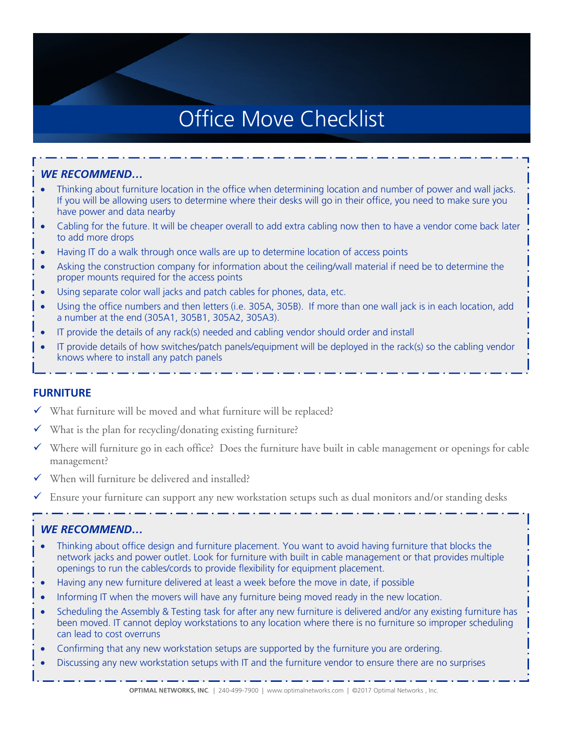## *WE RECOMMEND…*

- Thinking about furniture location in the office when determining location and number of power and wall jacks. If you will be allowing users to determine where their desks will go in their office, you need to make sure you have power and data nearby
- Cabling for the future. It will be cheaper overall to add extra cabling now then to have a vendor come back later to add more drops
- Having IT do a walk through once walls are up to determine location of access points
- Asking the construction company for information about the ceiling/wall material if need be to determine the proper mounts required for the access points
- Using separate color wall jacks and patch cables for phones, data, etc.
- Using the office numbers and then letters (i.e. 305A, 305B). If more than one wall jack is in each location, add a number at the end (305A1, 305B1, 305A2, 305A3).
- IT provide the details of any rack(s) needed and cabling vendor should order and install
- IT provide details of how switches/patch panels/equipment will be deployed in the rack(s) so the cabling vendor knows where to install any patch panels

### **FURNITURE**

- $\checkmark$  What furniture will be moved and what furniture will be replaced?
- What is the plan for recycling/donating existing furniture?
- $\checkmark$  Where will furniture go in each office? Does the furniture have built in cable management or openings for cable management?
- When will furniture be delivered and installed?
- Ensure your furniture can support any new workstation setups such as dual monitors and/or standing desks

- Thinking about office design and furniture placement. You want to avoid having furniture that blocks the network jacks and power outlet. Look for furniture with built in cable management or that provides multiple openings to run the cables/cords to provide flexibility for equipment placement.
- Having any new furniture delivered at least a week before the move in date, if possible
- Informing IT when the movers will have any furniture being moved ready in the new location.
- Scheduling the Assembly & Testing task for after any new furniture is delivered and/or any existing furniture has been moved. IT cannot deploy workstations to any location where there is no furniture so improper scheduling can lead to cost overruns
- Confirming that any new workstation setups are supported by the furniture you are ordering.
- Discussing any new workstation setups with IT and the furniture vendor to ensure there are no surprises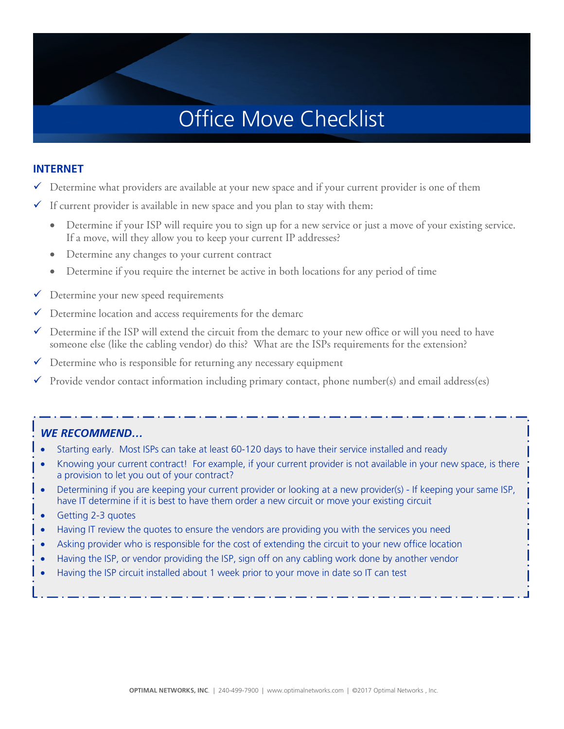#### **INTERNET**

- $\checkmark$  Determine what providers are available at your new space and if your current provider is one of them
- $\checkmark$  If current provider is available in new space and you plan to stay with them:
	- Determine if your ISP will require you to sign up for a new service or just a move of your existing service. If a move, will they allow you to keep your current IP addresses?
	- Determine any changes to your current contract
	- Determine if you require the internet be active in both locations for any period of time
- $\checkmark$  Determine your new speed requirements
- $\checkmark$  Determine location and access requirements for the demarc
- $\checkmark$  Determine if the ISP will extend the circuit from the demarc to your new office or will you need to have someone else (like the cabling vendor) do this? What are the ISPs requirements for the extension?
- $\checkmark$  Determine who is responsible for returning any necessary equipment
- $\checkmark$  Provide vendor contact information including primary contact, phone number(s) and email address(es)

- Starting early. Most ISPs can take at least 60-120 days to have their service installed and ready
- Knowing your current contract! For example, if your current provider is not available in your new space, is there a provision to let you out of your contract?
- Determining if you are keeping your current provider or looking at a new provider(s) If keeping your same ISP, have IT determine if it is best to have them order a new circuit or move your existing circuit
- Getting 2-3 quotes
- Having IT review the quotes to ensure the vendors are providing you with the services you need
- Asking provider who is responsible for the cost of extending the circuit to your new office location
- Having the ISP, or vendor providing the ISP, sign off on any cabling work done by another vendor
- Having the ISP circuit installed about 1 week prior to your move in date so IT can test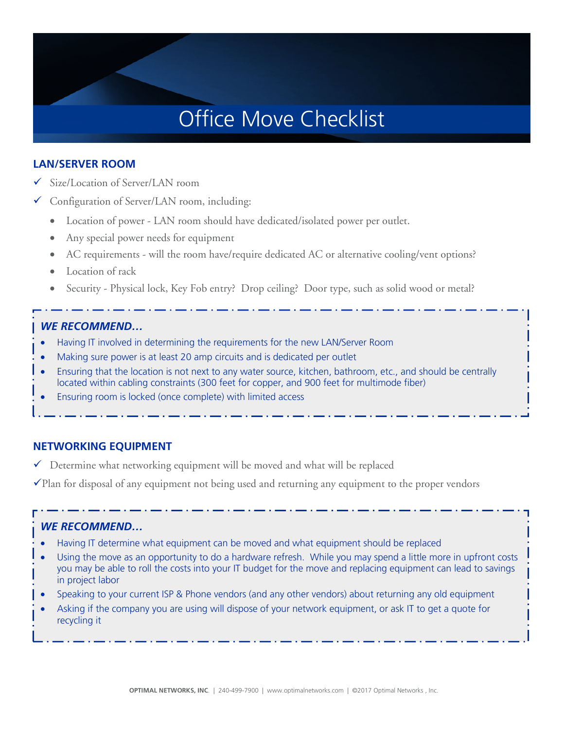### **LAN/SERVER ROOM**

- Size/Location of Server/LAN room
- Configuration of Server/LAN room, including:
	- Location of power LAN room should have dedicated/isolated power per outlet.
	- Any special power needs for equipment
	- AC requirements will the room have/require dedicated AC or alternative cooling/vent options?
	- Location of rack
	- Security Physical lock, Key Fob entry? Drop ceiling? Door type, such as solid wood or metal?

### *WE RECOMMEND…*

- Having IT involved in determining the requirements for the new LAN/Server Room
- Making sure power is at least 20 amp circuits and is dedicated per outlet
- Ensuring that the location is not next to any water source, kitchen, bathroom, etc., and should be centrally located within cabling constraints (300 feet for copper, and 900 feet for multimode fiber)
- Ensuring room is locked (once complete) with limited access

### **NETWORKING EQUIPMENT**

 $\checkmark$  Determine what networking equipment will be moved and what will be replaced

Plan for disposal of any equipment not being used and returning any equipment to the proper vendors

- Having IT determine what equipment can be moved and what equipment should be replaced
- Using the move as an opportunity to do a hardware refresh. While you may spend a little more in upfront costs you may be able to roll the costs into your IT budget for the move and replacing equipment can lead to savings in project labor
- Speaking to your current ISP & Phone vendors (and any other vendors) about returning any old equipment
- Asking if the company you are using will dispose of your network equipment, or ask IT to get a quote for recycling it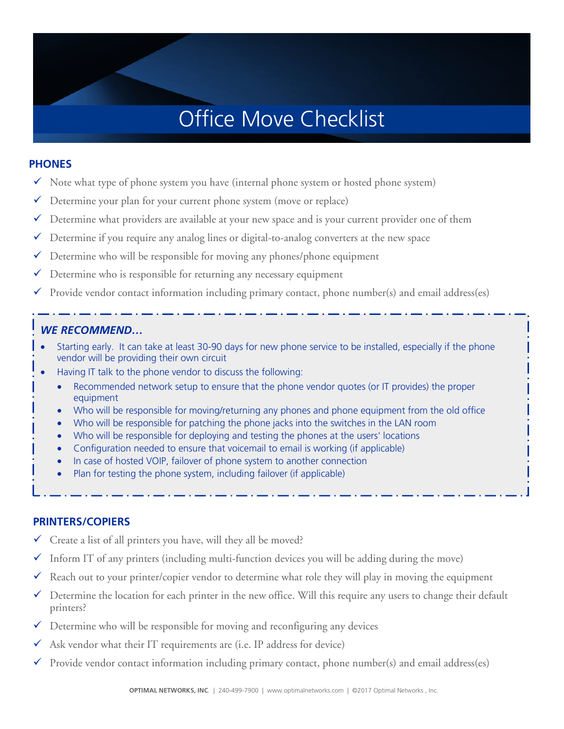#### **PHONES**

- $\checkmark$  Note what type of phone system you have (internal phone system or hosted phone system)
- $\checkmark$  Determine your plan for your current phone system (move or replace)
- $\checkmark$  Determine what providers are available at your new space and is your current provider one of them
- $\checkmark$  Determine if you require any analog lines or digital-to-analog converters at the new space
- $\checkmark$  Determine who will be responsible for moving any phones/phone equipment
- $\checkmark$  Determine who is responsible for returning any necessary equipment
- $\checkmark$  Provide vendor contact information including primary contact, phone number(s) and email address(es)

### *WE RECOMMEND…*

- Starting early. It can take at least 30-90 days for new phone service to be installed, especially if the phone vendor will be providing their own circuit
- Having IT talk to the phone vendor to discuss the following:
	- Recommended network setup to ensure that the phone vendor quotes (or IT provides) the proper equipment
	- Who will be responsible for moving/returning any phones and phone equipment from the old office
	- Who will be responsible for patching the phone jacks into the switches in the LAN room
	- Who will be responsible for deploying and testing the phones at the users' locations
	- Configuration needed to ensure that voicemail to email is working (if applicable)
	- In case of hosted VOIP, failover of phone system to another connection
	- Plan for testing the phone system, including failover (if applicable)

#### **PRINTERS/COPIERS**

- $\checkmark$  Create a list of all printers you have, will they all be moved?
- $\checkmark$  Inform IT of any printers (including multi-function devices you will be adding during the move)
- Reach out to your printer/copier vendor to determine what role they will play in moving the equipment
- $\checkmark$  Determine the location for each printer in the new office. Will this require any users to change their default printers?
- $\checkmark$  Determine who will be responsible for moving and reconfiguring any devices
- $\checkmark$  Ask vendor what their IT requirements are (i.e. IP address for device)
- $\checkmark$  Provide vendor contact information including primary contact, phone number(s) and email address(es)